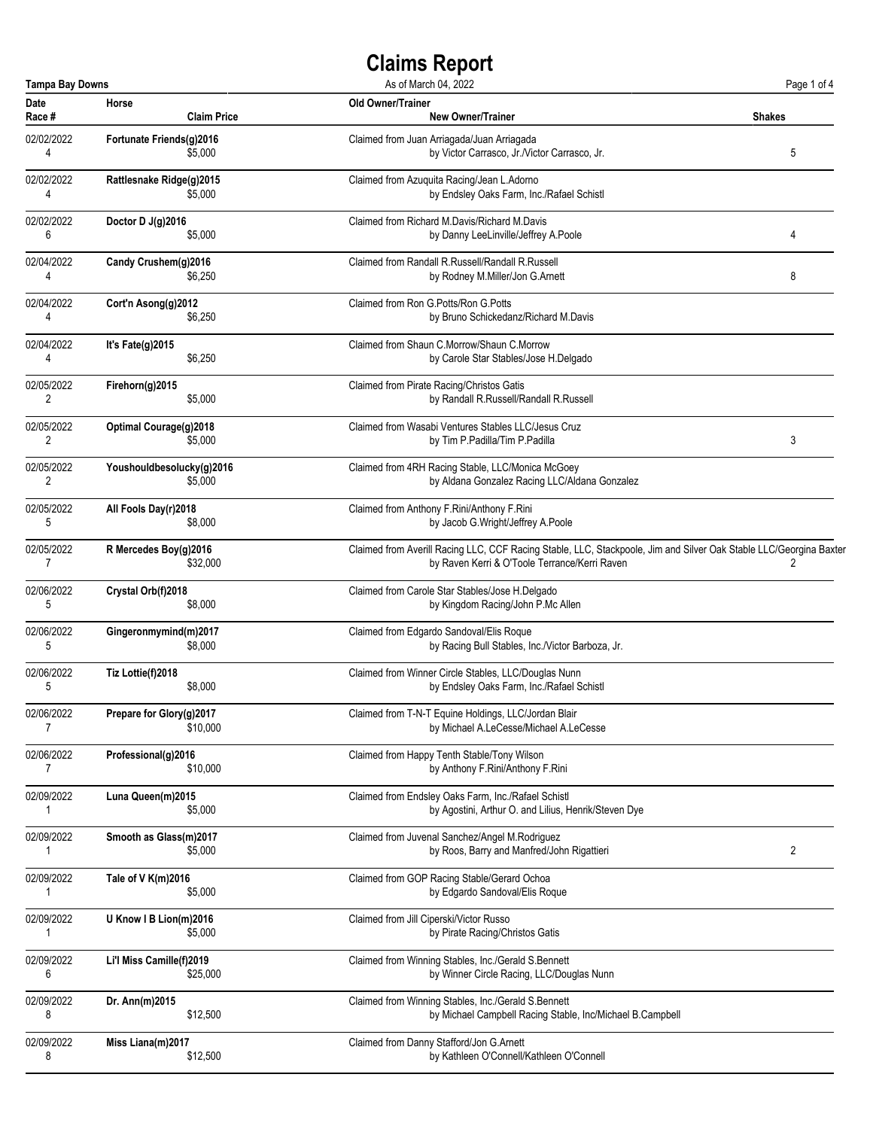| <b>Tampa Bay Downs</b> |                           | As of March 04, 2022                                                                                               | Page 1 of 4    |
|------------------------|---------------------------|--------------------------------------------------------------------------------------------------------------------|----------------|
| Date                   | Horse                     | <b>Old Owner/Trainer</b>                                                                                           | <b>Shakes</b>  |
| Race #                 | <b>Claim Price</b>        | <b>New Owner/Trainer</b>                                                                                           |                |
| 02/02/2022             | Fortunate Friends(g)2016  | Claimed from Juan Arriagada/Juan Arriagada                                                                         | 5              |
| 4                      | \$5,000                   | by Victor Carrasco, Jr./Victor Carrasco, Jr.                                                                       |                |
| 02/02/2022             | Rattlesnake Ridge(g)2015  | Claimed from Azuquita Racing/Jean L.Adorno                                                                         |                |
| 4                      | \$5,000                   | by Endsley Oaks Farm, Inc./Rafael Schistl                                                                          |                |
| 02/02/2022             | Doctor D J(g)2016         | Claimed from Richard M.Davis/Richard M.Davis                                                                       | 4              |
| 6                      | \$5,000                   | by Danny LeeLinville/Jeffrey A.Poole                                                                               |                |
| 02/04/2022             | Candy Crushem(g)2016      | Claimed from Randall R.Russell/Randall R.Russell                                                                   | 8              |
| 4                      | \$6,250                   | by Rodney M.Miller/Jon G.Arnett                                                                                    |                |
| 02/04/2022             | Cort'n Asong(g)2012       | Claimed from Ron G. Potts/Ron G. Potts                                                                             |                |
| 4                      | \$6,250                   | by Bruno Schickedanz/Richard M.Davis                                                                               |                |
| 02/04/2022             | It's Fate(g)2015          | Claimed from Shaun C.Morrow/Shaun C.Morrow                                                                         |                |
| 4                      | \$6,250                   | by Carole Star Stables/Jose H.Delgado                                                                              |                |
| 02/05/2022             | Firehorn(g)2015           | Claimed from Pirate Racing/Christos Gatis                                                                          |                |
| 2                      | \$5,000                   | by Randall R.Russell/Randall R.Russell                                                                             |                |
| 02/05/2022             | Optimal Courage(g)2018    | Claimed from Wasabi Ventures Stables LLC/Jesus Cruz                                                                | 3              |
| 2                      | \$5,000                   | by Tim P.Padilla/Tim P.Padilla                                                                                     |                |
| 02/05/2022             | Youshouldbesolucky(g)2016 | Claimed from 4RH Racing Stable, LLC/Monica McGoey                                                                  |                |
| 2                      | \$5,000                   | by Aldana Gonzalez Racing LLC/Aldana Gonzalez                                                                      |                |
| 02/05/2022             | All Fools Day(r)2018      | Claimed from Anthony F.Rini/Anthony F.Rini                                                                         |                |
| 5                      | \$8,000                   | by Jacob G.Wright/Jeffrey A.Poole                                                                                  |                |
| 02/05/2022             | R Mercedes Boy(g)2016     | Claimed from Averill Racing LLC, CCF Racing Stable, LLC, Stackpoole, Jim and Silver Oak Stable LLC/Georgina Baxter | 2              |
| 7                      | \$32,000                  | by Raven Kerri & O'Toole Terrance/Kerri Raven                                                                      |                |
| 02/06/2022             | Crystal Orb(f)2018        | Claimed from Carole Star Stables/Jose H.Delgado                                                                    |                |
| 5                      | \$8,000                   | by Kingdom Racing/John P.Mc Allen                                                                                  |                |
| 02/06/2022             | Gingeronmymind(m)2017     | Claimed from Edgardo Sandoval/Elis Roque                                                                           |                |
| 5                      | \$8,000                   | by Racing Bull Stables, Inc./Victor Barboza, Jr.                                                                   |                |
| 02/06/2022             | Tiz Lottie(f)2018         | Claimed from Winner Circle Stables, LLC/Douglas Nunn                                                               |                |
| 5                      | \$8,000                   | by Endsley Oaks Farm, Inc./Rafael Schistl                                                                          |                |
| 02/06/2022             | Prepare for Glory(g)2017  | Claimed from T-N-T Equine Holdings, LLC/Jordan Blair                                                               |                |
| 7                      | \$10,000                  | by Michael A.LeCesse/Michael A.LeCesse                                                                             |                |
| 02/06/2022             | Professional(g)2016       | Claimed from Happy Tenth Stable/Tony Wilson                                                                        |                |
| 7                      | \$10,000                  | by Anthony F.Rini/Anthony F.Rini                                                                                   |                |
| 02/09/2022             | Luna Queen(m)2015         | Claimed from Endsley Oaks Farm, Inc./Rafael Schistl                                                                |                |
| 1                      | \$5,000                   | by Agostini, Arthur O. and Lilius, Henrik/Steven Dye                                                               |                |
| 02/09/2022             | Smooth as Glass(m)2017    | Claimed from Juvenal Sanchez/Angel M.Rodriguez                                                                     | $\overline{2}$ |
| 1                      | \$5,000                   | by Roos, Barry and Manfred/John Rigattieri                                                                         |                |
| 02/09/2022             | Tale of V K(m)2016        | Claimed from GOP Racing Stable/Gerard Ochoa                                                                        |                |
| 1                      | \$5,000                   | by Edgardo Sandoval/Elis Roque                                                                                     |                |
| 02/09/2022             | U Know I B Lion(m)2016    | Claimed from Jill Ciperski/Victor Russo                                                                            |                |
| 1                      | \$5,000                   | by Pirate Racing/Christos Gatis                                                                                    |                |
| 02/09/2022             | Li'l Miss Camille(f)2019  | Claimed from Winning Stables, Inc./Gerald S.Bennett                                                                |                |
| 6                      | \$25,000                  | by Winner Circle Racing, LLC/Douglas Nunn                                                                          |                |
| 02/09/2022             | Dr. Ann(m)2015            | Claimed from Winning Stables, Inc./Gerald S.Bennett                                                                |                |
| 8                      | \$12,500                  | by Michael Campbell Racing Stable, Inc/Michael B.Campbell                                                          |                |
| 02/09/2022             | Miss Liana(m)2017         | Claimed from Danny Stafford/Jon G.Arnett                                                                           |                |
| 8                      | \$12,500                  | by Kathleen O'Connell/Kathleen O'Connell                                                                           |                |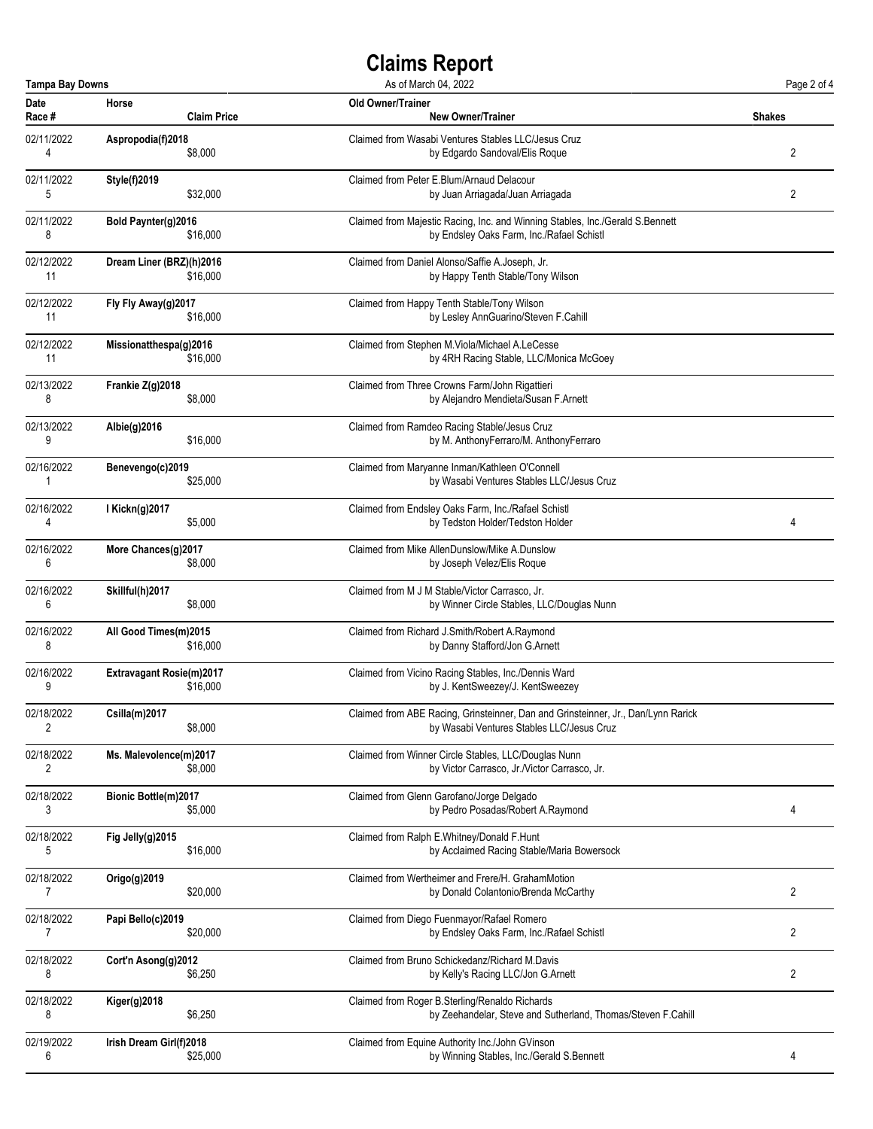| <b>Tampa Bay Downs</b><br>As of March 04, 2022 |                             |                                                                                   | Page 2 of 4    |
|------------------------------------------------|-----------------------------|-----------------------------------------------------------------------------------|----------------|
| Date                                           | Horse                       | <b>Old Owner/Trainer</b>                                                          | <b>Shakes</b>  |
| Race #                                         | <b>Claim Price</b>          | <b>New Owner/Trainer</b>                                                          |                |
| 02/11/2022                                     | Aspropodia(f)2018           | Claimed from Wasabi Ventures Stables LLC/Jesus Cruz                               | $\overline{2}$ |
| 4                                              | \$8,000                     | by Edgardo Sandoval/Elis Roque                                                    |                |
| 02/11/2022                                     | <b>Style(f)2019</b>         | Claimed from Peter E.Blum/Arnaud Delacour                                         | 2              |
| 5                                              | \$32,000                    | by Juan Arriagada/Juan Arriagada                                                  |                |
| 02/11/2022                                     | Bold Paynter(g)2016         | Claimed from Majestic Racing, Inc. and Winning Stables, Inc./Gerald S.Bennett     |                |
| 8                                              | \$16,000                    | by Endsley Oaks Farm, Inc./Rafael Schistl                                         |                |
| 02/12/2022                                     | Dream Liner (BRZ)(h)2016    | Claimed from Daniel Alonso/Saffie A.Joseph, Jr.                                   |                |
| 11                                             | \$16,000                    | by Happy Tenth Stable/Tony Wilson                                                 |                |
| 02/12/2022                                     | Fly Fly Away(g)2017         | Claimed from Happy Tenth Stable/Tony Wilson                                       |                |
| 11                                             | \$16,000                    | by Lesley AnnGuarino/Steven F.Cahill                                              |                |
| 02/12/2022                                     | Missionatthespa(g)2016      | Claimed from Stephen M.Viola/Michael A.LeCesse                                    |                |
| 11                                             | \$16,000                    | by 4RH Racing Stable, LLC/Monica McGoey                                           |                |
| 02/13/2022                                     | Frankie Z(g)2018            | Claimed from Three Crowns Farm/John Rigattieri                                    |                |
| 8                                              | \$8,000                     | by Alejandro Mendieta/Susan F.Arnett                                              |                |
| 02/13/2022                                     | Albie(g)2016                | Claimed from Ramdeo Racing Stable/Jesus Cruz                                      |                |
| 9                                              | \$16,000                    | by M. AnthonyFerraro/M. AnthonyFerraro                                            |                |
| 02/16/2022                                     | Benevengo(c)2019            | Claimed from Maryanne Inman/Kathleen O'Connell                                    |                |
| 1                                              | \$25,000                    | by Wasabi Ventures Stables LLC/Jesus Cruz                                         |                |
| 02/16/2022                                     | I Kickn(g)2017              | Claimed from Endsley Oaks Farm, Inc./Rafael Schistl                               | 4              |
| 4                                              | \$5,000                     | by Tedston Holder/Tedston Holder                                                  |                |
| 02/16/2022                                     | More Chances(g)2017         | Claimed from Mike AllenDunslow/Mike A.Dunslow                                     |                |
| 6                                              | \$8,000                     | by Joseph Velez/Elis Roque                                                        |                |
| 02/16/2022                                     | Skillful(h)2017             | Claimed from M J M Stable/Victor Carrasco, Jr.                                    |                |
| 6                                              | \$8,000                     | by Winner Circle Stables, LLC/Douglas Nunn                                        |                |
| 02/16/2022                                     | All Good Times(m)2015       | Claimed from Richard J.Smith/Robert A.Raymond                                     |                |
| 8                                              | \$16,000                    | by Danny Stafford/Jon G.Arnett                                                    |                |
| 02/16/2022                                     | Extravagant Rosie(m)2017    | Claimed from Vicino Racing Stables, Inc./Dennis Ward                              |                |
| 9                                              | \$16,000                    | by J. KentSweezey/J. KentSweezey                                                  |                |
| 02/18/2022                                     | Csilla(m)2017               | Claimed from ABE Racing, Grinsteinner, Dan and Grinsteinner, Jr., Dan/Lynn Rarick |                |
| 2                                              | \$8,000                     | by Wasabi Ventures Stables LLC/Jesus Cruz                                         |                |
| 02/18/2022                                     | Ms. Malevolence(m)2017      | Claimed from Winner Circle Stables, LLC/Douglas Nunn                              |                |
| 2                                              | \$8,000                     | by Victor Carrasco, Jr./Victor Carrasco, Jr.                                      |                |
| 02/18/2022                                     | <b>Bionic Bottle(m)2017</b> | Claimed from Glenn Garofano/Jorge Delgado                                         | 4              |
| 3                                              | \$5,000                     | by Pedro Posadas/Robert A.Raymond                                                 |                |
| 02/18/2022                                     | Fig Jelly(g)2015            | Claimed from Ralph E.Whitney/Donald F.Hunt                                        |                |
| 5                                              | \$16,000                    | by Acclaimed Racing Stable/Maria Bowersock                                        |                |
| 02/18/2022                                     | Origo(g)2019                | Claimed from Wertheimer and Frere/H. GrahamMotion                                 | 2              |
| 7                                              | \$20,000                    | by Donald Colantonio/Brenda McCarthy                                              |                |
| 02/18/2022                                     | Papi Bello(c)2019           | Claimed from Diego Fuenmayor/Rafael Romero                                        | 2              |
| 7                                              | \$20,000                    | by Endsley Oaks Farm, Inc./Rafael Schistl                                         |                |
| 02/18/2022                                     | Cort'n Asong(g)2012         | Claimed from Bruno Schickedanz/Richard M.Davis                                    | 2              |
| 8                                              | \$6,250                     | by Kelly's Racing LLC/Jon G.Arnett                                                |                |
| 02/18/2022                                     | Kiger(g)2018                | Claimed from Roger B.Sterling/Renaldo Richards                                    |                |
| 8                                              | \$6,250                     | by Zeehandelar, Steve and Sutherland, Thomas/Steven F.Cahill                      |                |
| 02/19/2022                                     | Irish Dream Girl(f)2018     | Claimed from Equine Authority Inc./John GVinson                                   | 4              |
| 6                                              | \$25,000                    | by Winning Stables, Inc./Gerald S.Bennett                                         |                |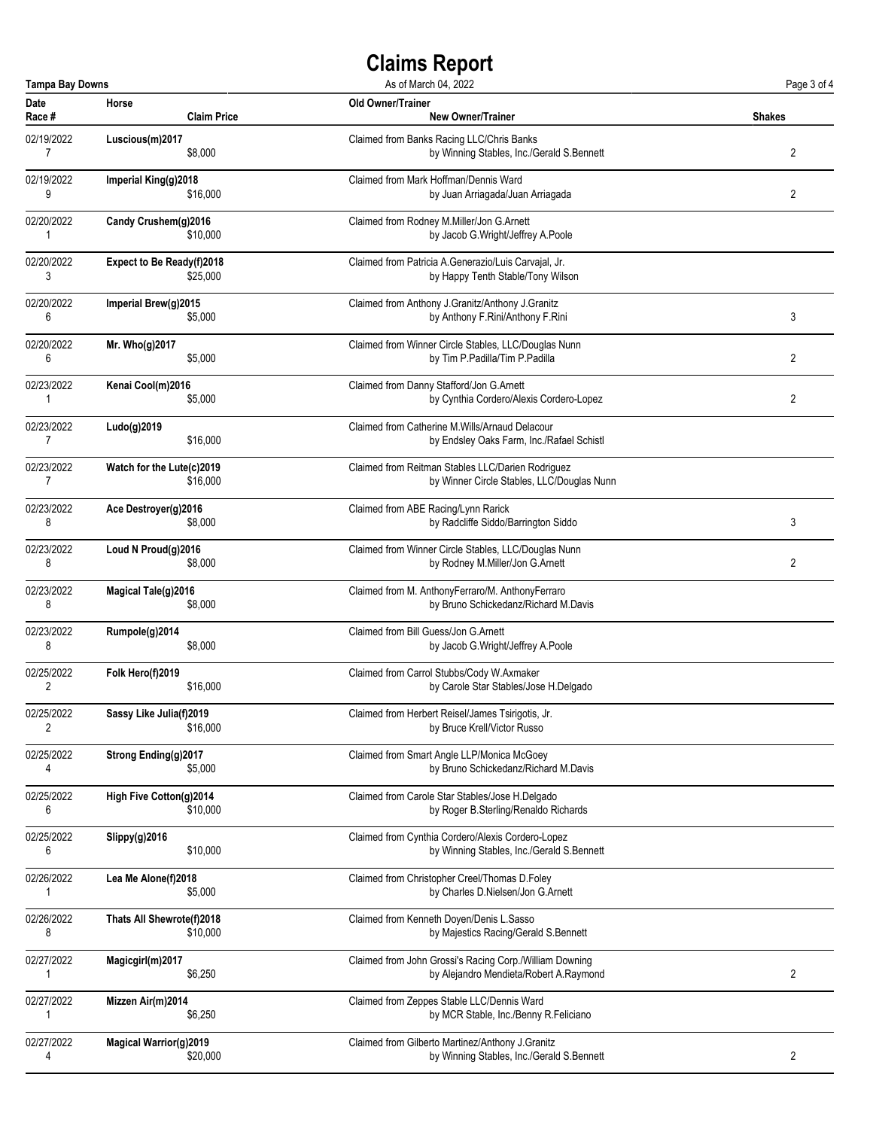| <b>Tampa Bay Downs</b><br>As of March 04, 2022 |                               |                    | Page 3 of 4                                                                                       |                |
|------------------------------------------------|-------------------------------|--------------------|---------------------------------------------------------------------------------------------------|----------------|
| Date<br>Race #                                 | Horse                         | <b>Claim Price</b> | Old Owner/Trainer<br><b>New Owner/Trainer</b>                                                     | <b>Shakes</b>  |
| 02/19/2022<br>$\overline{7}$                   | Luscious(m)2017               | \$8,000            | Claimed from Banks Racing LLC/Chris Banks<br>by Winning Stables, Inc./Gerald S.Bennett            | 2              |
| 02/19/2022<br>9                                | Imperial King(g)2018          | \$16,000           | Claimed from Mark Hoffman/Dennis Ward<br>by Juan Arriagada/Juan Arriagada                         | 2              |
| 02/20/2022<br>1                                | Candy Crushem(g)2016          | \$10,000           | Claimed from Rodney M.Miller/Jon G.Arnett<br>by Jacob G.Wright/Jeffrey A.Poole                    |                |
| 02/20/2022<br>3                                | Expect to Be Ready(f)2018     | \$25,000           | Claimed from Patricia A.Generazio/Luis Carvajal, Jr.<br>by Happy Tenth Stable/Tony Wilson         |                |
| 02/20/2022<br>6                                | Imperial Brew(g)2015          | \$5,000            | Claimed from Anthony J.Granitz/Anthony J.Granitz<br>by Anthony F.Rini/Anthony F.Rini              | 3              |
| 02/20/2022<br>6                                | Mr. Who(g)2017                | \$5,000            | Claimed from Winner Circle Stables, LLC/Douglas Nunn<br>by Tim P.Padilla/Tim P.Padilla            | $\overline{2}$ |
| 02/23/2022<br>1                                | Kenai Cool(m)2016             | \$5,000            | Claimed from Danny Stafford/Jon G.Arnett<br>by Cynthia Cordero/Alexis Cordero-Lopez               | 2              |
| 02/23/2022<br>7                                | Ludo(g)2019                   | \$16,000           | Claimed from Catherine M. Wills/Arnaud Delacour<br>by Endsley Oaks Farm, Inc./Rafael Schistl      |                |
| 02/23/2022<br>7                                | Watch for the Lute(c)2019     | \$16,000           | Claimed from Reitman Stables LLC/Darien Rodriquez<br>by Winner Circle Stables, LLC/Douglas Nunn   |                |
| 02/23/2022<br>8                                | Ace Destroyer(g)2016          | \$8,000            | Claimed from ABE Racing/Lynn Rarick<br>by Radcliffe Siddo/Barrington Siddo                        | 3              |
| 02/23/2022<br>8                                | Loud N Proud(g)2016           | \$8,000            | Claimed from Winner Circle Stables, LLC/Douglas Nunn<br>by Rodney M.Miller/Jon G.Arnett           | 2              |
| 02/23/2022<br>8                                | Magical Tale(g)2016           | \$8,000            | Claimed from M. AnthonyFerraro/M. AnthonyFerraro<br>by Bruno Schickedanz/Richard M.Davis          |                |
| 02/23/2022<br>8                                | Rumpole(g)2014                | \$8,000            | Claimed from Bill Guess/Jon G.Arnett<br>by Jacob G.Wright/Jeffrey A.Poole                         |                |
| 02/25/2022<br>2                                | Folk Hero(f)2019              | \$16,000           | Claimed from Carrol Stubbs/Cody W.Axmaker<br>by Carole Star Stables/Jose H.Delgado                |                |
| 02/25/2022<br>2                                | Sassy Like Julia(f)2019       | \$16,000           | Claimed from Herbert Reisel/James Tsirigotis, Jr.<br>by Bruce Krell/Victor Russo                  |                |
| 02/25/2022<br>4                                | Strong Ending(g)2017          | \$5,000            | Claimed from Smart Angle LLP/Monica McGoey<br>by Bruno Schickedanz/Richard M.Davis                |                |
| 02/25/2022<br>6                                | High Five Cotton(g)2014       | \$10,000           | Claimed from Carole Star Stables/Jose H.Delgado<br>by Roger B.Sterling/Renaldo Richards           |                |
| 02/25/2022<br>6                                | Slippy(g)2016                 | \$10,000           | Claimed from Cynthia Cordero/Alexis Cordero-Lopez<br>by Winning Stables, Inc./Gerald S.Bennett    |                |
| 02/26/2022<br>1                                | Lea Me Alone(f)2018           | \$5,000            | Claimed from Christopher Creel/Thomas D.Foley<br>by Charles D.Nielsen/Jon G.Arnett                |                |
| 02/26/2022<br>8                                | Thats All Shewrote(f)2018     | \$10,000           | Claimed from Kenneth Doyen/Denis L.Sasso<br>by Majestics Racing/Gerald S.Bennett                  |                |
| 02/27/2022<br>1                                | Magicgirl(m)2017              | \$6,250            | Claimed from John Grossi's Racing Corp./William Downing<br>by Alejandro Mendieta/Robert A.Raymond | 2              |
| 02/27/2022<br>1                                | Mizzen Air(m)2014             | \$6,250            | Claimed from Zeppes Stable LLC/Dennis Ward<br>by MCR Stable, Inc./Benny R.Feliciano               |                |
| 02/27/2022<br>4                                | <b>Magical Warrior(g)2019</b> | \$20,000           | Claimed from Gilberto Martinez/Anthony J.Granitz<br>by Winning Stables, Inc./Gerald S.Bennett     | 2              |